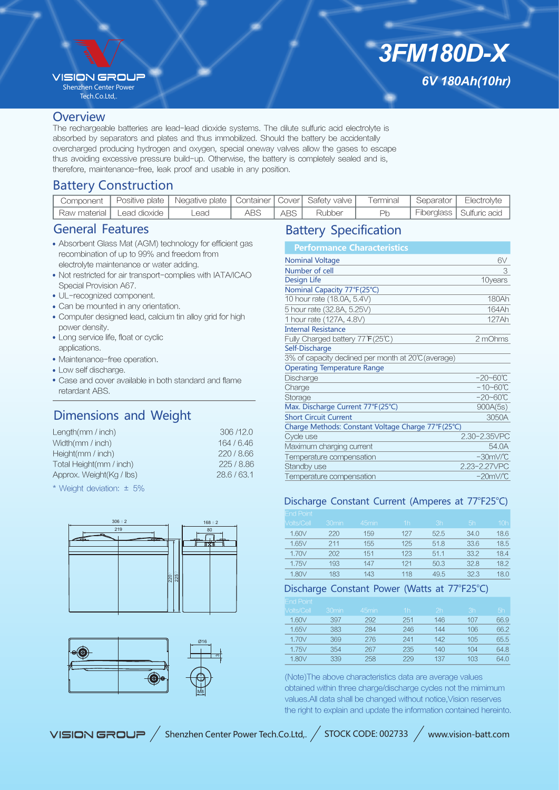## **VISION GROU?**

Shenzhen Center Power Tech.Co.Ltd,.

# *3FM180D-X 6V 180Ah(10hr)*

#### **Overview**

The rechargeable batteries are lead-lead dioxide systems. The dilute sulfuric acid electrolyte is absorbed by separators and plates and thus immobilized. Should the battery be accidentally overcharged producing hydrogen and oxygen, special oneway valves allow the gases to escape thus avoiding excessive pressure build-up. Otherwise, the battery is completely sealed and is, therefore, maintenance-free, leak proof and usable in any position.

# Battery Construction

| Component I |                              | Positive plate   Negative plate   Container   Cover   Safety valve |     |       |        | Terminal | Separator | Electrolvte                |
|-------------|------------------------------|--------------------------------------------------------------------|-----|-------|--------|----------|-----------|----------------------------|
|             | `Raw material   Lead dioxide | Lead                                                               | ABS | ABS I | Rubber | Pr       |           | Fiberglass   Sulfuric acid |

## General Features

- Absorbent Glass Mat (AGM) technology for efficient gas recombination of up to 99% and freedom from electrolyte maintenance or water adding.
- Not restricted for air transport-complies with IATA/ICAO Special Provision A67.
- UL-recognized component.
- Can be mounted in any orientation.
- Computer designed lead, calcium tin alloy grid for high power density.
- Long service life, float or cyclic applications.
- Maintenance-free operation.
- Low self discharge.
- Case and cover available in both standard and flame retardant ABS.

# Dimensions and Weight

| Length $(mm / inch)$     | 306/12.0   |
|--------------------------|------------|
| Width(mm / inch)         | 164 / 6.46 |
| Height( $mm / inch$ )    | 220/8.66   |
| Total Height(mm / inch)  | 225/8.86   |
| Approx. Weight(Kg / lbs) | 28.6/63.1  |

\* Weight deviation: ± 5%





# Battery Specification

| <b>Performance Characteristics</b>                  |                      |
|-----------------------------------------------------|----------------------|
| <b>Nominal Voltage</b>                              | 6V                   |
| Number of cell                                      | 3                    |
| Design Life                                         | 10years              |
| Nominal Capacity 77°F(25°C)                         |                      |
| 10 hour rate (18.0A, 5.4V)                          | 180Ah                |
| 5 hour rate (32.8A, 5.25V)                          | 164Ah                |
| 1 hour rate (127A, 4.8V)                            | 127Ah                |
| <b>Internal Resistance</b>                          |                      |
| Fully Charged battery 77°F(25℃)                     | 2 mOhms              |
| Self-Discharge                                      |                      |
| 3% of capacity declined per month at 20°C (average) |                      |
| <b>Operating Temperature Range</b>                  |                      |
| Discharge                                           | $-20 - 60^{\circ}C$  |
| Charge                                              | $-10 - 60^{\circ}C$  |
| Storage                                             | $-20 - 60^{\circ}C$  |
| Max. Discharge Current 77°F(25°C)                   | 900A(5s)             |
| <b>Short Circuit Current</b>                        | 3050A                |
| Charge Methods: Constant Voltage Charge 77°F(25°C)  |                      |
| Cycle use                                           | 2.30-2.35VPC         |
| Maximum charging current                            | 54.0A                |
| Temperature compensation                            | $-30mV$ <sup>C</sup> |
| Standby use                                         | 2.23-2.27VPC         |
| Temperature compensation                            | $-20mV$ °C           |

### Discharge Constant Current (Amperes at 77°F25°C)

| <b>End Point</b>        |                   |                   |                |      |      |              |
|-------------------------|-------------------|-------------------|----------------|------|------|--------------|
| Volts/Cell <sup>1</sup> | 30 <sub>min</sub> | 45 <sub>min</sub> | 1 <sub>h</sub> | 3h   | 5h   | $\sqrt{10h}$ |
| 1.60V                   | 220               | 159               | 127            | 52.5 | 34.0 | 18.6         |
| 1.65V                   | 211               | 155               | 125            | 51.8 | 33.6 | 18.5         |
| 1.70V                   | 202               | 151               | 123            | 51.1 | 33.2 | 18.4         |
| 1.75V                   | 193               | 147               | 121            | 50.3 | 32.8 | 18.2         |
| 1.80V                   | 183               | 143               | 118            | 49.5 | 32.3 | 18.0         |

## Discharge Constant Power (Watts at 77°F25°C)

| <b>End Point</b>  |                   |       |                |     |                 |      |
|-------------------|-------------------|-------|----------------|-----|-----------------|------|
| <b>Volts/Cell</b> | 30 <sub>min</sub> | 45min | 1 <sub>h</sub> | 2h  | 3h              | 5h   |
| 1.60V             | 397               | 292   | 251            | 146 | 107             | 66.9 |
| 1.65V             | 383               | 284   | 246            | 144 | 106             | 66.2 |
| 1.70V             | 369               | 276   | 241            | 142 | 10 <sub>5</sub> | 65.5 |
| 1.75V             | 354               | 267   | 235            | 140 | 104             | 64.8 |
| 1.80V             | 339               | 258   | 229            | 137 | 103             | 64.0 |
|                   |                   |       |                |     |                 |      |

(Note)The above characteristics data are average values obtained within three charge/discharge cycles not the mimimum values.All data shall be changed without notice,Vision reserves the right to explain and update the information contained hereinto.

VISION GROUP / Shenzhen Center Power Tech.Co.Ltd,. / STOCK CODE: 002733 / www.vision-batt.com